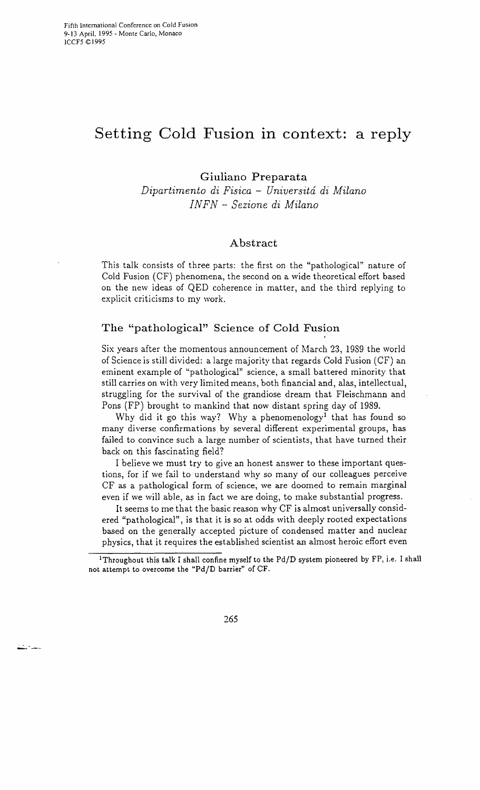# **Setting Cold Fusion in context: a reply**

# **Giuliano Preparata**

*Dipartimento di Fisica* - *Universitd di Milano INFN* - *Sezione di Milano* 

# **Abstract**

This talk consists of three parts: the first on the "pathological" nature of Cold Fusion (CF) phenomena, the second on a wide theoretical effort based on the new ideas of QED coherence in matter, and the third replying to explicit criticisms to my work.

# **The "pathological" Science of Cold Fusion**

Six years after the momentous announcement of March 23, 1989 the world of Science is still divided: a large majority that regards Cold Fusion (CF) an eminent example of "pathological" science, a small battered minority that still carries on with very limited means, both financial and, alas, intellectual, struggling for the survival of the grandiose dream that Fleischmann and Pons (FP) brought to mankind that now distant spring day of 1989.

Why did it go this way? Why a phenomenology<sup>1</sup> that has found so many diverse confirmations by several different experimental groups, has failed to convince such a large number of scientists, that have turned their back on this fascinating field?

I believe we must try to give an honest answer to these important questions, for if we fail to understand why so many of our colleagues perceive CF as a pathological form of science, we are doomed to remain marginal even if we will able, as in fact we are doing, to make substantial progress.

It seems to me that the basic reason why CF is almost universally considered "pathological", is that it is so at odds with deeply rooted expectations based on the generally accepted picture of condensed matter and nuclear physics, that it requires the established scientist an almost heroic effort even

<sup>1</sup>Throughout this talk I shall confine myself to the Pd/D system pioneered by FP, i.e. I shall not attempt to overcome the *"PdjD* barrier" of CF.



للمناديث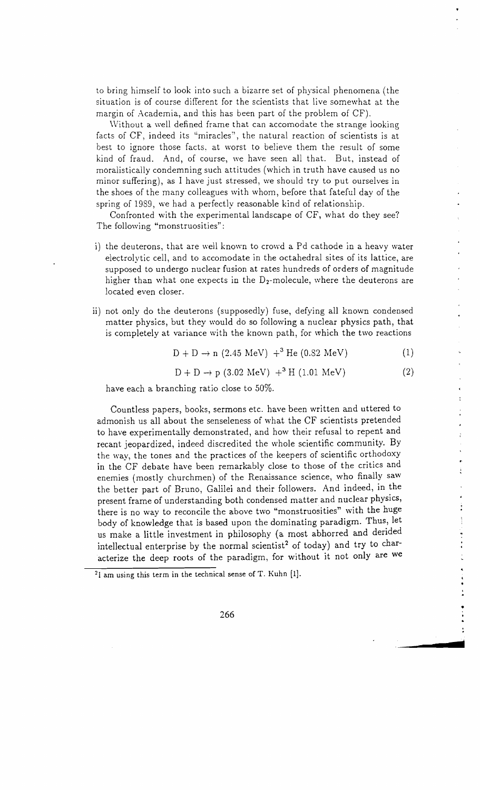to bring himself to look into such a bizarre set of physical phenomena (the situation is of course different for the scientists that live somewhat at the margin of Academia, and this has been part of the problem of CF).

Without a well defined frame that can accomodate the strange looking facts of CF, indeed its "miracles", the natural reaction of scientists is at best to ignore those facts, at worst to believe them the result of some kind of fraud. And, of course, we have seen all that. But, instead of moralistically condemning such attitudes (which in truth have caused us no minor suffering), as I have just stressed, \ve should try to put ourselves in the shoes of the many colleagues with whom, before that fateful day of the spring of 1989, we had a perfectly reasonable kind of relationship.

Confronted with the experimental landscape of CF, what do they see? The following "monstruosities":

- i) the deuterons, that are well known to crowd a Pd cathode in a heavy water electrolytic cell, and to accomodate in the octahedral sites of its lattice, are supposed to undergo nuclear fusion at rates hundreds of orders of magnitude higher than what one expects in the  $D_2$ -molecule, where the deuterons are located even closer.
- ii) not only do the deuterons (supposedly) fuse, defying all known condensed matter physics, but they would do so following a nuclear physics path, that is completely at variance with the known path, for which the two reactions

$$
D + D \to n (2.45 \text{ MeV}) +^3 \text{He} (0.82 \text{ MeV})
$$
 (1)

$$
D + D \rightarrow p (3.02 \text{ MeV}) + ^{3}H (1.01 \text{ MeV})
$$
 (2)

•

ł  $\frac{1}{2}$ 

> l.  $\frac{1}{2}$

**d** 

have each a branching ratio close to 50%.

Countless papers, books, sermons etc. have been written and uttered to admonish us all about the senseleness of what the CF scientists pretended to have experimentally demonstrated, and how their refusal to repent and recant jeopardized, indeed discredited the whole scientific community. By the way, the tones and the practices of the keepers of scientific orthodoxy in the CF debate have been remarkably close to those of the critics and enemies (mostly churchmen) of the Renaissance science, who finally saw the better part of Bruno, Galilei and their followers. And indeed, in the present frame of understanding both condensed matter and nuclear physics, there is no way to reconcile the above two "monstruosities" with the huge body of knowledge that is based upon the dominating paradigm. Thus, let us make a little investment in philosophy (a most abhorred and derided intellectual enterprise by the normal scientist<sup>2</sup> of today) and try to characterize the deep roots of the paradigm, for without it not only are we

<sup>21</sup> am using this term in the technical sense of T. Kuhn [1].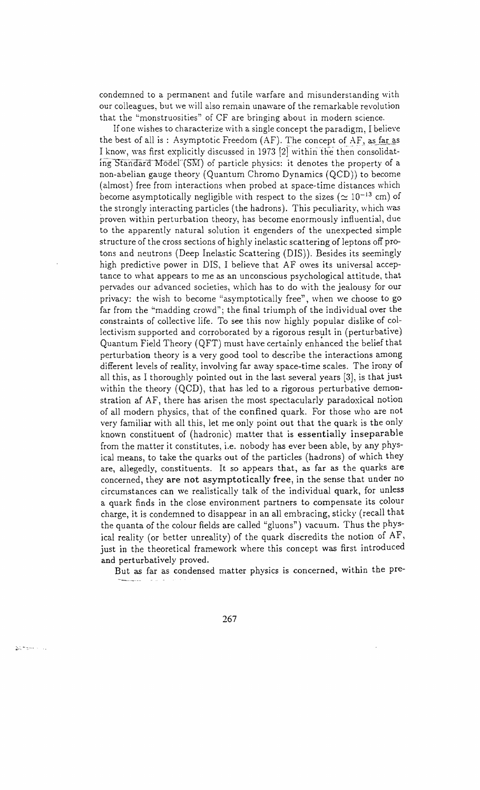condemned to a permanent and futile warfare and misunderstanding with our colleagues, but we will also remain unaware of the remarkable revolution that the "monstruosities" of CF are bringing about in modern science.

If one wishes to characterize wi th a single concept the paradigm, I believe the best of all is : Asymptotic Freedom  $(AF)$ . The concept of AF, as far as I know, was first explicitly discussed in 1973 [2] within the then consolidating Standard Mödel  $(SM)$  of particle physics: it denotes the property of a non-abelian gauge theory (Quantum Chromo Dynamics  $(QCD)$ ) to become (almost) free from interactions when probed at space-time distances which become asymptotically negligible with respect to the sizes ( $\simeq 10^{-13}$  cm) of the strongly interacting particles (the hadrons). This peculiarity, \V hich was proven within perturbation theory, has become enormously influential, due to the apparently natural solution it engenders of the unexpected simple structure of the cross sections of highly inelastic scattering of leptons off protons and neutrons (Deep Inelastic Scattering (DIS). Besides its seemingly high predictive power in DIS, I believe that AF owes its universal acceptance to what appears to me as an unconscious psychological attitude, that pervades our advanced societies, which has to do with the jealousy for our privacy: the wish to become "asymptotically free", when we choose to go far from the "madding crowd"; the final triumph of the individual over the constraints of collective life. To see this now highly popular dislike of collectivism supported and corroborated by a rigorous result in (perturbative) Quantum Field Theory (QFT) must have certainly enhanced the belief that perturbation theory is a very good tool to describe the interactions among different levels of reality, involving far away space-time scales. The irony of all this, as I thoroughly pointed out in the last several years [3], is that just within the theory  $(QCD)$ , that has led to a rigorous perturbative demonstration af AF, there has arisen the most spectacularly paradoxical notion of all modern physics, that of the confined quark. For those who are not very familiar with all this, let me only point out that the quark is the only known constituent of (hadronic) matter that is essentially inseparable from the matter it constitutes, i.e. nobody has ever been able, by any physical means, to take the quarks out of the particles (hadrons) of which they are, allegedly, constituents. It so appears that, as far as the quarks are concerned, they are not asymptotically free, in the sense that under no circumstances can we realistically talk of the individual quark, for unless a quark finds in the close environment partners to compensate its colour charge, it is condemned to disappear in an all embracing, sticky (recall that the quanta of the colour fields are called "gluons") vacuum. Thus the physical reality (or better unreality) of the quark discredits the notion of AF, just in the theoretical framework where this concept was first introduced and perturbatively proved.

But as far as condensed matter physics is concerned, within the pre-

267

agements.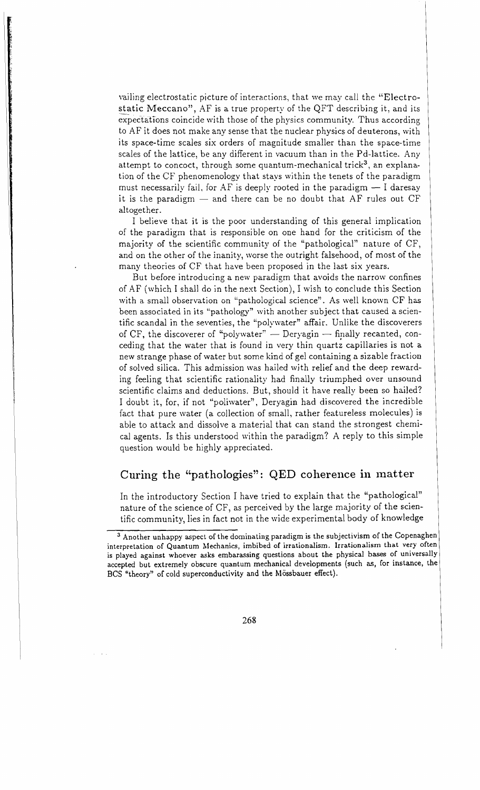vailing electrostatic picture of interactions, that we may call the "Electrostatic Meccano", AF is a true property of the QFT describing it, and its expectations coincide with those of the physics community. Thus according to AF it does not make any sense that the nuclear physics of deuterons, with its space-time scales six orders of magnitude smaller than the space-time scales of the lattice, be any different in vacuum than in the Pd-Iattice. Any attempt to concoct, through some quantum-mechanical trick<sup>3</sup>, an explanation of the CF phenomenology that stays within the tenets of the paradigm must necessarily fail, for AF is deeply rooted in the paradigm  $-1$  daresay it is the paradigm  $-$  and there can be no doubt that AF rules out CF altogether.

I believe that it is the poor understanding of this general implication of the paradigm that is responsible on one hand for the criticism of the majority of the scientific community of the "pathological" nature of CF, and on the other of the inanity, worse the outright falsehood, of most of the many theories of CF that have been proposed in the last six years.

But before introducing a new paradigm that avoids the narrow confines of AF (which I shall do in the next Section), I wish to conclude this Section with a small observation on "pathological science". As well known CF has been associated in its "pathology" with another subject that caused a scientific scandal in the seventies, the "polywater" affair. Unlike the discoverers of CF, the discoverer of "polywater"  $-$  Deryagin  $-$  finally recanted, conceding that the water that is found in very thin quartz capillaries is not a new strange phase of water but some kind of gel containing a sizable fraction of solved silica. This admission was hailed with relief and the deep rewarding feeling that scientific rationality had finally triumphed over unsound scientific claims and deductions. But, should it have really been so hailed? I doubt it, for, if not "poliwater", Deryagin had discovered the incredible fact that pure water (a collection of small, rather featureless molecules) is able to attack and dissolve a material that Can stand the strongest chemical agents. Is this understood within the paradigm? A reply to this simple question would be highly appreciated.

# Curing the "pathologies": QED coherence in matter

In the introductory Section I have tried to explain that the "pathological" nature of the science of CF, as perceived by the large majority of the scientific community, lies in fact not in the wide experimental body of knowledge

<sup>3</sup> Another unhappy aspect of the dominating paradigm is the subjectivism of the Copenaghen interpretation of Quantum Mechanics, imbibed of irrationalism. Irrationalism that very often is played against whoever asks embarassing questions about the physical bases of universally accepted but extremely obscure quantum mechanical developments (such as, for instance, the BCS "theory" of cold superconductivity and the Mössbauer effect).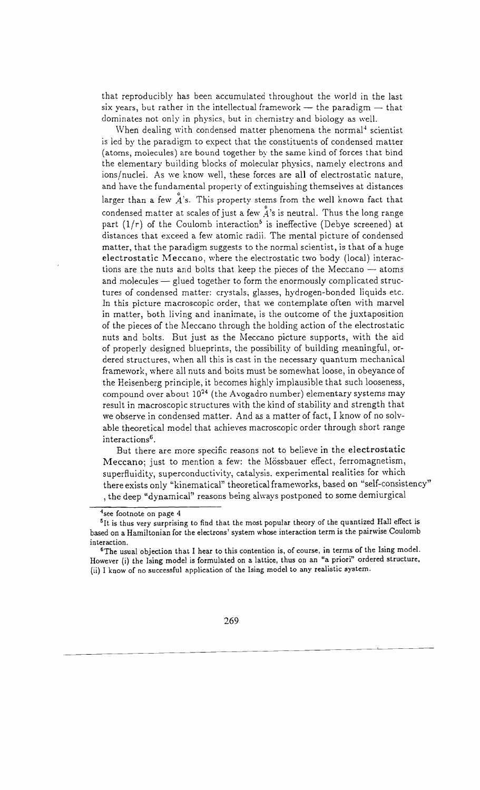that reproducibly has been accumulated throughout the world in the last six years, but rather in the intellectual framework  $-$  the paradigm  $-$  that dominates not only in physics, but in chemistry and biology as well.

When dealing with condensed matter phenomena the normal<sup>4</sup> scientist is led by the paradigm to expect that the constituents of condensed matter (atoms, molecules) are bound together by the same kind of forces that bind the elementary building blocks of molecular physics, namely electrons and ions/nuclei. As we know well, these forces are all of electrostatic nature, and have the fundamental property of extinguishing themselves at distances larger than a few  $A$ 's. This property stems from the well known fact that condensed matter at scales of just a few  $\stackrel{\mathtt{o}}{A}$ 's is neutral. Thus the long range part  $(1/r)$  of the Coulomb interaction<sup>5</sup> is ineffective (Debye screened) at distances that exceed a few atomic radii. The mental picture of condensed matter, that the paradigm suggests to the normal scientist, is that of a huge electrostatic Meccano, where the electrostatic two body (local) interactions are the nuts and bolts that keep the pieces of the Meccano  $-$  atoms and molecules — glued together to form the enormously complicated structures of condensed matter: crystals, glasses, hydrogen-bonded liquids etc. In this picture macroscopic order, that we contemplate often with marvel in matter, both living and inanimate, is the outcome of the juxtaposition of the pieces of the Meccano through the holding action of the electrostatic nuts and bolts. But just as the Meccano picture supports, with the aid of properly designed blueprints, the possibility of building meaningful, or dered structures, when all this is cast in the necessary quantum mechanical framework, where all nuts and bolts must be somewhat loose, in obeyance of the Heisenberg principle, it becomes highly implausible that such looseness, compound over about  $10^{24}$  (the Avogadro number) elementary systems may result in macroscopic structures with the kind of stability and strength that we observe in condensed matter. And as a matter of fact, I know of no solv able theoretical model that achieves macroscopic order through short range interactions<sup>6</sup>.

But there are more specific reasons not to believe in the electrostatic Meccano; just to mention a few: the Mössbauer effect, ferromagnetism, superfluidity, superconductivity, catalysis, experimental realities for which there exists only "kinematical" theoretical frameworks, based on "self-consistency" , the deep "dynamical" reasons being always postponed to some demiurgical

<sup>&</sup>lt;sup>4</sup>see footnote on page 4

<sup>&</sup>lt;sup>5</sup>It is thus very surprising to find that the most popular theory of the quantized Hall effect is based on a Hamiltonian for the electrons' system whose interaction term is the pairwise Coulomb interaction.

 $6$ The usual objection that I hear to this contention is, of course, in terms of the Ising model. However (i) the Ising model is formulated on a lattice, thus on an "a priori" ordered structure, (ii) I know of no successful application of the Ising model to any realistic system.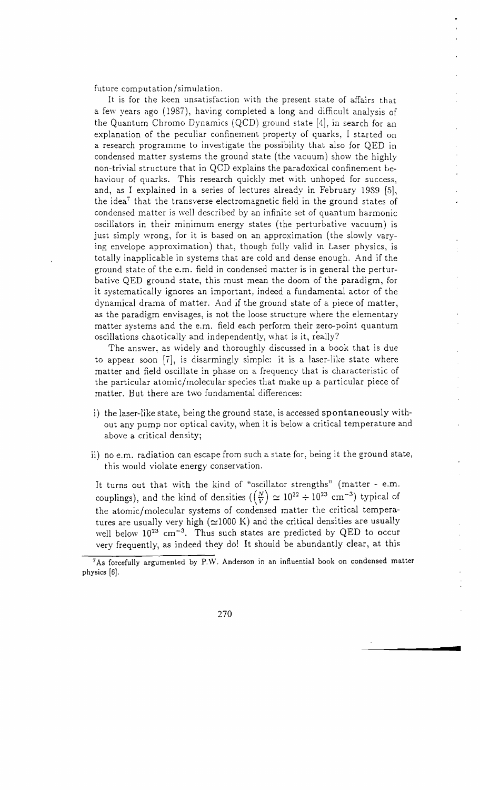future computation/simulation.

It is for the keen unsatisfaction with the present state of affairs that a few years ago (1987), having completed a long and difficult analysis of the Quantum Chromo Dynamics (QCD) ground state [4], in search for an explanation of the peculiar confinement property of quarks, I started on a research programme to investigate the possibility that also for QED in condensed matter systems the ground state (the vacuum) show the highly non-trivial structure that in QCD explains the paradoxical confinement behaviour of quarks. This research quickly met with unhoped for success, and, as I explained in a series of lectures already in February 1989 [5], the idea' that the transverse electromagnetic field in the ground states of condensed matter is well described by an infinite set of quantum harmonic oscillators in their minimum energy states (the perturbative vacuum) is just simply wrong, for it is based on an approximation (the slowly vary ing envelope approximation) that, though fully valid in Laser physics, is totally inapplicable in systems that are cold and dense enough. And if the ground state of the e.m. field in condensed matter is in general the pertur bative QED ground state, this must mean the doom of the paradigm, for it systematically ignores an important, indeed a fundamental actor of the dynamical drama of matter. And if the ground state of a piece of matter, as the paradigm envisages, is not the loose structure where the elementary matter systems and the e.m. field each perform their zero-point quantum oscillations chaotically and independently, what is it, really?

The answer, as widely and thoroughly discussed in a book that is due to appear soon [7], is disarmingly simple: it is a laser-like state where matter and field oscillate in phase on a frequency that is characteristic of the particular atomic/molecular species that make up a particular piece of matter. But there are two fundamental differences:

- i) the laser-like state, being the ground state, is accessed spontaneously without any pump nor optical cavity, when it is below a critical temperature and above a critical density;
- ii) no e.m. radiation can escape from such a state for, being it the ground state, this would violate energy conservation.

It turns out that with the kind of "oscillator strengths" (matter - e.m. couplings), and the kind of densities  $(\frac{N}{V}) \approx 10^{22} \div 10^{23}$  cm<sup>-3</sup>) typical of the atomic/molecular systems of condensed matter the critical tempera tures are usually very high  $(\simeq1000\;{\rm K})$  and the critical densities are usually well below  $10^{23}$  cm<sup>-3</sup>. Thus such states are predicted by QED to occur very frequently, as indeed they do! It should be abundantly clear, at this

**•** 

<sup>7</sup>As forcefully argumented by P.W. Anderson in an influential book on condensed matter physics [6].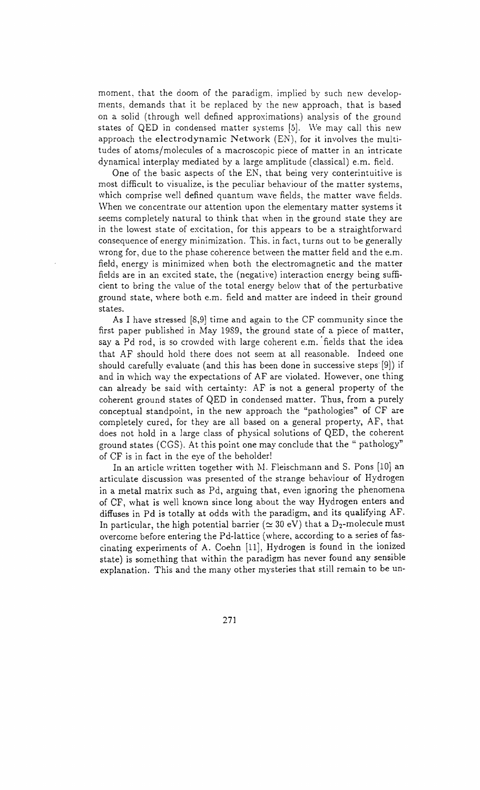moment, that the doom of the paradigm, implied by such new developments, demands that it be replaced by the new approach, that is based on a solid (through well defined approximations) analysis of the ground states of QED in condensed matter systems [5]. We may call this new approach the electrodynamic Network (EN), for it involves the multitudes of atoms/molecules of a macroscopic piece of matter in an intricate dynamical interplay mediated by a large amplitude (classical) e.m. field.

One of the basic aspects of the EN, that being very conterintuitive is most difficult to visualize, is the peculiar behaviour of the matter systems, which comprise well defined quantum wave fields, the matter wave fields. \Vhen we concentrate our attention upon the elementary matter systems it seems completely natural to think that when in the ground state they are in the lowest state of excitation, for this appears to be a straightforward consequence of energy minimization. This. in fact, turns out to be generally wrong for, due to the phase coherence between the matter field and the e.m. field, energy is minimized when both the electromagnetic and the matter fields are in an excited state, the (negative) interaction energy being sufficient to bring the value of the total energy below that of the perturbative ground state, where both e.m. field and matter are indeed in their ground states.

As I have stressed [8,9] time and again to the CF community since the first paper published in May 1989, the ground state of a piece of matter, say a Pd rod, is so crowded with large coherent e.m. 'fields that the idea that AF should hold there does not seem at all reasonable. Indeed one should carefully evaluate (and this has been done in successive steps [9]) if and in which way the expectations of AF are violated. However, one thing can already be said with certainty: AF is not a general property of the coherent ground states of QED in condensed matter. Thus, from a purely conceptual standpoint, in the new approach the "pathologies" of CF are completely cured, for they are all based on a general property, AF, that does not hold in a large class of physical solutions of QED, the coherent ground states (CGS). At this point one may conclude that the" pathology" of CF is in fact in the eye of the beholder!

In an article written together with M. Fleischmann and S. Pons [10] an articulate discussion was presented of the strange behaviour of Hydrogen in a metal matrix such as Pd, arguing that, even ignoring the phenomena of CF, what is well known since long about the way Hydrogen enters and diffuses in Pd is totally at odds with the paradigm, and its qualifying AF. In particular, the high potential barrier ( $\simeq$  30 eV) that a D<sub>2</sub>-molecule must overcome before entering the Pd-Iattice (where, according to a series of fascinating experiments of A. Coehn (11], Hydrogen is found in the ionized state) is something that within the paradigm has never found any sensible explanation. This and the many other mysteries that still remain to be un-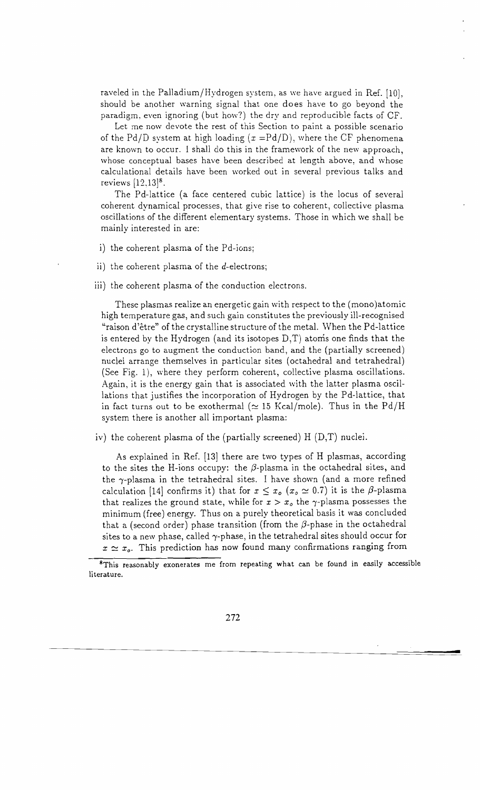raveled in the Palladium/Hydrogen system, as we have argued in Ref. [10], should be another warning signal that one does have to go beyond the paradigm, even ignoring (but how?) the dry and reproducible facts of CF.

Let me now devote the rest of this Section to paint a possible scenario of the Pd/D system at high loading  $(x = Pd/D)$ , where the CF phenomena are known to occur. I shall do this in the framework of the new approach, whose conceptual bases have been described at length above, and whose calculational details have been worked out in several previous talks and reviews  $[12,13]$ <sup>8</sup>.

The Pd-lattice (a face centered cubic lattice) is the locus of several coherent dynamical processes, that give rise to coherent, collective plasma oscillations of the different elementary systems. Those in which we shall be mainly interested in are:

- i) the coherent plasma of the Pd-ions;
- ii) the coherent plasma of the  $d$ -electrons;
- iii) the coherent plasma of the conduction electrons.

These plasmas realize an energetic gain with respect to the (mono)atomic high temperature gas, and such gain constitutes the previously ill-recognised "raison d'etre" of the crystalline structure of the metal. When the Pd-lattice is entered by the Hydrogen (and its isotopes  $D,T$ ) atoms one finds that the electrons go to augment the conduction band, and the (partially screened) nuclei arrange themselves in particular sites (octahedral and tetrahedral) (See Fig. 1), where they perform coherent, collective plasma oscillations. Again, it is the energy gain that is associated with the latter plasma oscil lations that justifies the incorporation of Hydrogen by the Pd-lattice, that in fact turns out to be exothermal ( $\simeq$  15 Kcal/mole). Thus in the Pd/H system there is another all important plasma:

iv) the coherent plasma of the (partially screened) H (D,T) nuclei.

As explained in Ref. [13] there are two types of H plasmas, according to the sites the H-ions occupy: the  $\beta$ -plasma in the octahedral sites, and the  $\gamma$ -plasma in the tetrahedral sites. I have shown (and a more refined calculation [14] confirms it) that for  $x \leq x_o$  ( $x_o \simeq 0.7$ ) it is the  $\beta$ -plasma that realizes the ground state, while for  $x > x_o$  the  $\gamma$ -plasma possesses the minimum (free) energy. Thus on a purely theoretical basis it was concluded that a (second order) phase transition (from the  $\beta$ -phase in the octahedral sites to a new phase, called  $\gamma$ -phase, in the tetrahedral sites should occur for  $x \approx x_o$ . This prediction has now found many confirmations ranging from

**=** 

<sup>&</sup>lt;sup>8</sup>This reasonably exonerates me from repeating what can be found in easily accessible literature.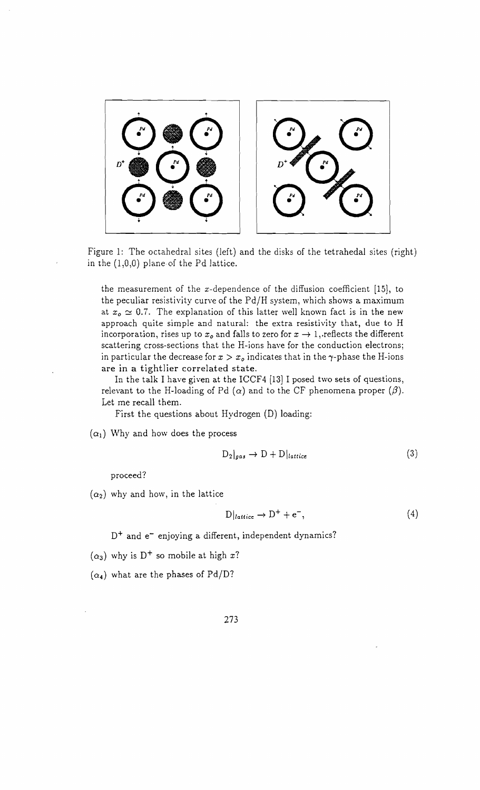

Figure 1: The octahedral sites (left) and the disks of the tetrahedal sites (right) in the (1,0,0) plane of the Pd lattice.

the measurement of the x-dependence of the diffusion coefficient [15], to the peculiar resistivity curve of the  $Pd/H$  system, which shows a maximum at  $x_0 \simeq 0.7$ . The explanation of this latter well known fact is in the new approach quite simple and natural: the extra resistivity that, due to H incorporation, rises up to  $x_o$  and falls to zero for  $x \to 1$ , reflects the different scattering cross-sections that the H-ions have for the conduction electrons; in particular the decrease for  $x > x_o$  indicates that in the  $\gamma$ -phase the H-ions are **in** a tightlier correlated state.

In the talk I have given at the ICCF4 [13] I posed two sets of questions, relevant to the H-loading of Pd  $(\alpha)$  and to the CF phenomena proper  $(\beta)$ . Let me recall them.

First the questions about Hydrogen (D) loading:

 $(\alpha_1)$  Why and how does the process

$$
D_2|_{gas} \to D + D|_{lattice} \tag{3}
$$

proceed?

 $(\alpha_2)$  why and how, in the lattice

$$
D|_{lattice} \to D^+ + e^-, \tag{4}
$$

 $D^+$  and  $e^-$  enjoying a different, independent dynamics?

- $(\alpha_3)$  why is D<sup>+</sup> so mobile at high x?
- $(\alpha_4)$  what are the phases of Pd/D?

273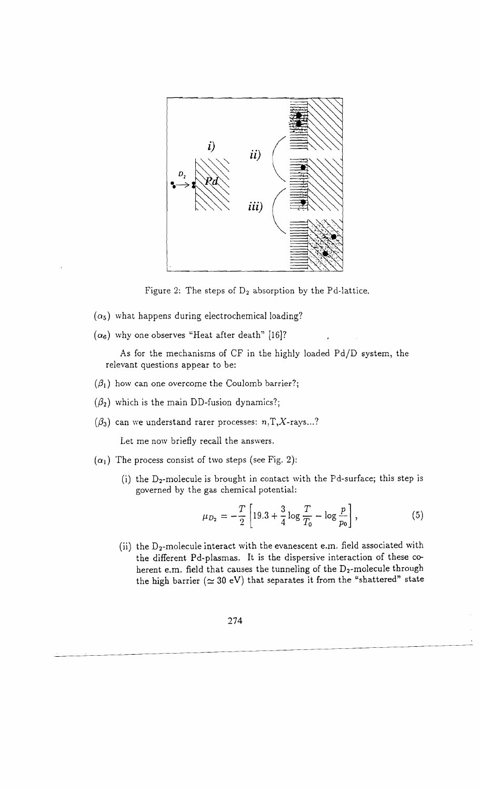

Figure 2: The steps of  $D_2$  absorption by the Pd-lattice.

- $(\alpha_5)$  what happens during electrochemical loading?
- $(\alpha_6)$  why one observes "Heat after death" [16]?

As for the mechanisms of CF in the highly loaded Pd/D system, the relevant questions appear to be:

- $(\beta_1)$  how can one overcome the Coulomb barrier?;
- $({\beta}_2)$  which is the main DD-fusion dynamics?;
- $({\beta}_3)$  can we understand rarer processes:  $n, T, X$ -rays...?

Let me now briefly recall the answers.

- $(\alpha_1)$  The process consist of two steps (see Fig. 2):
	- (i) the  $D_2$ -molecule is brought in contact with the Pd-surface; this step is governed by the gas chemical potential:

$$
\mu_{D_2} = -\frac{T}{2} \left[ 19.3 + \frac{3}{4} \log \frac{T}{T_0} - \log \frac{p}{p_0} \right],\tag{5}
$$

(ii) the  $D_2$ -molecule interact with the evanescent e.m. field associated with the different Pd-plasmas. It is the dispersive interaction of these coherent e.m. field that causes the tunneling of the  $D_2$ -molecule through the high barrier ( $\simeq 30$  eV) that separates it from the "shattered" state

274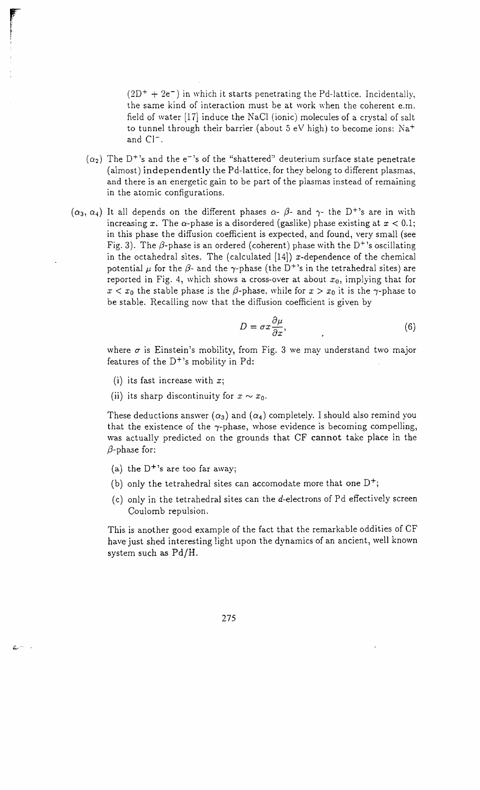$(2D^{+} + 2e^{-})$  in which it starts penetrating the Pd-lattice. Incidentally, the same kind of interaction must be at work when the coherent e.m. field of water [17) induce the NaCI (ionic) molecules of a crystal of salt to tunnel through their barrier (about  $5$  eV high) to become ions: Na<sup>+</sup> and C<sub>1</sub><sup>-</sup>.

- $(\alpha_2)$  The D<sup>+</sup>'s and the e<sup>-1</sup>s of the "shattered" deuterium surface state penetrate (almost) independently the Pd-Iattice, for they belong to different plasmas, and there is an energetic gain to be part of the plasmas instead of remaining in the atomic configurations.
- $(\alpha_3, \alpha_4)$  It all depends on the different phases  $\alpha$   $\beta$  and  $\gamma$  the D<sup>+</sup>'s are in with increasing x. The  $\alpha$ -phase is a disordered (gaslike) phase existing at  $x < 0.1$ ; in this phase the diffusion coefficient is expected, and found, very small (see Fig. 3). The  $\beta$ -phase is an ordered (coherent) phase with the D<sup>+</sup>'s oscillating in the octahedral sites. The (calculated  $[14]$ ) x-dependence of the chemical potential  $\mu$  for the  $\beta$ - and the  $\gamma$ -phase (the D<sup>+</sup>'s in the tetrahedral sites) are reported in Fig. 4, which shows a cross-over at about  $x_0$ , implying that for  $x < x_0$  the stable phase is the  $\beta$ -phase, while for  $x > x_0$  it is the  $\gamma$ -phase to be stable. Recalling now that the diffusion coefficient is given by

$$
D = \sigma x \frac{\partial \mu}{\partial x},\tag{6}
$$

where  $\sigma$  is Einstein's mobility, from Fig. 3 we may understand two major features of the  $D^{+}$ 's mobility in Pd:

- (i) its fast increase with  $x$ ;
- (ii) its sharp discontinuity for  $x \sim x_0$ .

These deductions answer  $(\alpha_3)$  and  $(\alpha_4)$  completely. I should also remind you that the existence of the  $\gamma$ -phase, whose evidence is becoming compelling, was actually predicted on the grounds that CF cannot take place in the  $\beta$ -phase for:

(a) the  $D^{+}$ 's are too far away;

£i....-..

- (b) only the tetrahedral sites can accomodate more that one  $D^+$ ;
- (c) only in the tetrahedral sites can the  $d$ -electrons of Pd effectively screen Coulomb repulsion.

This is another good example of the fact that the remarkable oddities of CF have just shed interesting light upon the dynamics of an ancient, well known system such as Pd/H.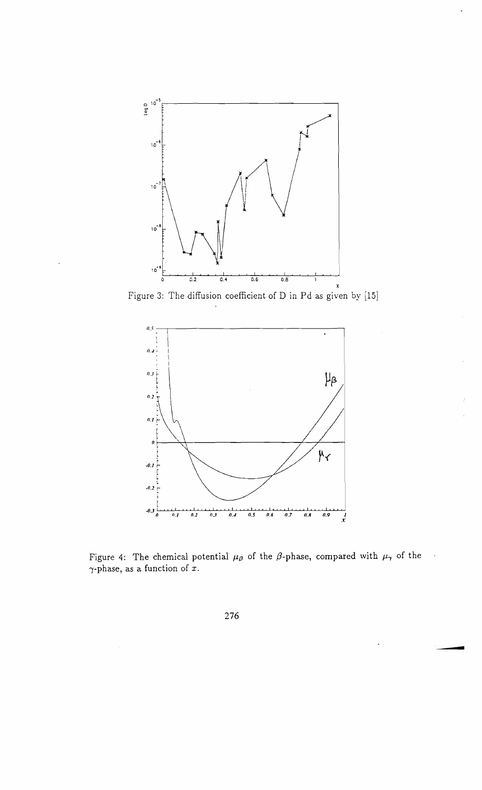

Figure 3: The diffusion coefficient of D in Pd as given by [15]



Figure 4: The chemical potential  $\mu_{\beta}$  of the  $\beta$ -phase, compared with  $\mu_{\gamma}$  of the  $\gamma$ -phase, as a function of  $\overline{x}$ .

**-**

 $\ddot{\phantom{0}}$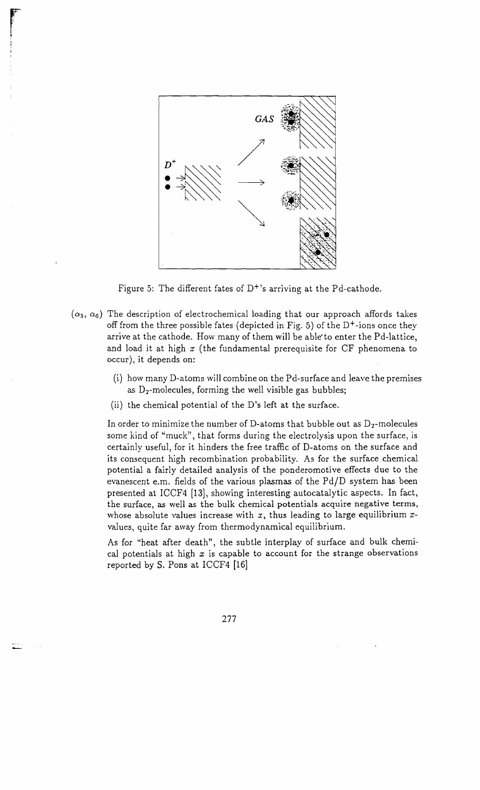

re en la propieta de la partie de la partie de la partie de la partie de la partie de la partie de la partie d<br>L'altre de la partie de la partie de la partie de la partie de la partie de la partie de la partie de la parti

, ~.

Figure 5: The different fates of  $D^+$ 's arriving at the Pd-cathode.

- $(\alpha_5, \alpha_6)$  The description of electrochemical loading that our approach affords takes off from the three possible fates (depicted in Fig. 5) of the  $D^+$ -ions once they arrive at the cathode. How many of them will be able'to enter the Pd-lattice, and load it at high *x* (the fundamental prerequisite for CF phenomena to occur), it depends on:
	- (i) how many D-atoms will combine on the Pd-surface and leave the premises as  $D_2$ -molecules, forming the well visible gas bubbles;
	- (ii) the chemical potential of the D's left at the surface.

In order to minimize the number of D-atoms that bubble out as  $D_2$ -molecules some kind of "muck", that forms during the electrolysis upon the surface, is certainly useful, for it hinders the free traffic of D-atoms on the surface and its consequent high recombination probability. As for the surface chemical potential a fairly detailed analysis of the ponderomotive effects due to the evanescent e.m. fields of the various plasmas of the Pd/D system has been presented at ICCF4 [13], showing interesting autocatalytic aspects, In fact, the surface, as well as the bulk chemical potentials acquire negative terms, whose absolute values increase with *x,* thus leading to large equilibrium *x*values, quite far away from thermodynamical equilibrium.

As for "heat after death", the subtle interplay of surface and bulk chemical potentials at high *x* is capable to account for the strange observations reported by S. Pons at ICCF4 [16]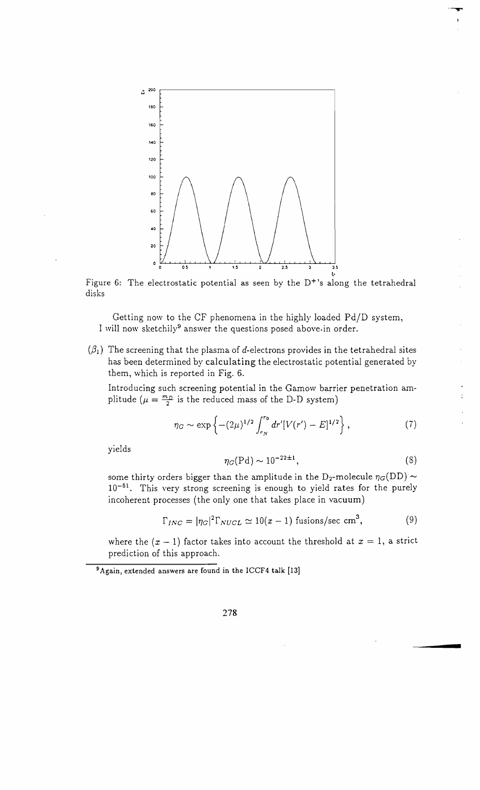

Figure 6: The electrostatic potential as seen by the  $D^{+}$ 's along the tetrahedral disks

Getting now to the CF phenomena in the highly loaded Pd/D system, I will now sketchily<sup>9</sup> answer the questions posed above.in order.

 $(\beta_1)$  The screening that the plasma of *d*-electrons provides in the tetrahedral sites has been determined by calculating the electrostatic potential generated by them, which is reported in Fig. 6.

Introducing such screening potential in the Gamow barrier penetration amplitude ( $\mu = \frac{m_D}{2}$  is the reduced mass of the D-D system)

$$
\eta_G \sim \exp\left\{-(2\mu)^{1/2} \int_{r_N}^{r_0} dr' [V(r') - E]^{1/2}\right\},\tag{7}
$$

yields

$$
\eta_G(\mathrm{Pd}) \sim 10^{-22 \pm 1},\tag{8}
$$

----....

some thirty orders bigger than the amplitude in the D<sub>2</sub>-molecule  $\eta_G(DD) \sim$  $10^{-51}$ . This very strong screening is enough to yield rates for the purely incoherent processes (the only one that takes place in vacuum)

$$
\Gamma_{INC} = |\eta_G|^2 \Gamma_{NUCL} \simeq 10(x-1) \text{ fusions/sec cm}^3,
$$
 (9)

where the  $(x - 1)$  factor takes into account the threshold at  $x = 1$ , a strict prediction of this approach.

9Again, extended answers are found in the ICCF4 talk [13]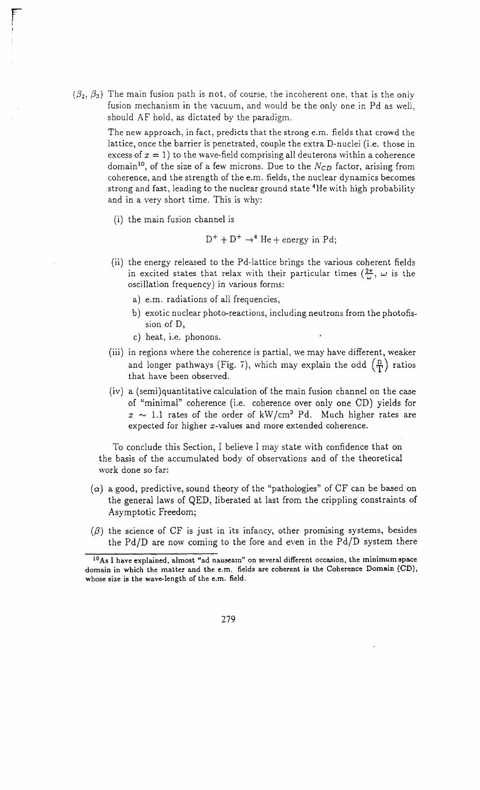$(\beta_2, \beta_3)$  The main fusion path is not, of course, the incoherent one, that is the only fusion mechanism in the vacuum, and would be the only one in Pd as well, should AF hold, as dictated by the paradigm.

> The new approach, in fact, predicts that the strong e.m. fields that crowd the lattice, once the barrier is penetrated, couple the extra D-nuclei (i.e. those in excess of  $x = 1$ ) to the wave-field comprising all deuterons within a coherence domain<sup>10</sup>, of the size of a few microns. Due to the *N<sub>CD</sub>* factor, arising from coherence, and the strength of the e.m. fields, the nuclear dynamics becomes strong and fast, leading to the nuclear ground state 4He with high probability and in a very short time. This is why:

(i) the main fusion channel is

$$
D^{+} + D^{+} \rightarrow^{4} He + energy in Pd;
$$

- (ii) the energy released to the Pd-lattice brings the various coherent fields in excited states that relax with their particular times ( $\frac{2\pi}{\omega}$ ,  $\omega$  is the oscillation frequency) in various forms:
	- a) e.m. radiations of all frequencies,
	- b) exotic nuclear photo-reactions, including neutrons from the photofission of D,
	- c) heat, i.e. phonons.
- (iii) in regions where the coherence is partial, we may have different, weaker and longer pathways (Fig. 7), which may explain the odd  $(\frac{\pi}{T})$  ratios that have been observed.
- (iv) a (semi)quantitative calculation of the main fusion channel on the case of "minimal" coherence (i.e. coherence over only one CD) yields for  $x \sim 1.1$  rates of the order of kW/cm<sup>3</sup> Pd. Much higher rates are expected for higher x-values and more extended coherence.

To conclude this Section, I believe I may state with confidence that on the basis of the accumulated body of observations and of the theoretical work done so far:

- $(\alpha)$  a good, predictive, sound theory of the "pathologies" of CF can be based on the general laws of QED, liberated at last from the crippling constraints of Asymptotic Freedom;
- $({\beta})$  the science of CF is just in its infancy, other promising systems, besides the Pd/D are now coming to the fore and even in the Pd/D system there

<sup>&</sup>lt;sup>10</sup>As I have explained, almost "ad nauseam" on several different occasion, the minimum space domain in which the matter and the e.m. fields are coherent is the Coherence Domain (CD), whose size is the wave-length of the e.m. field.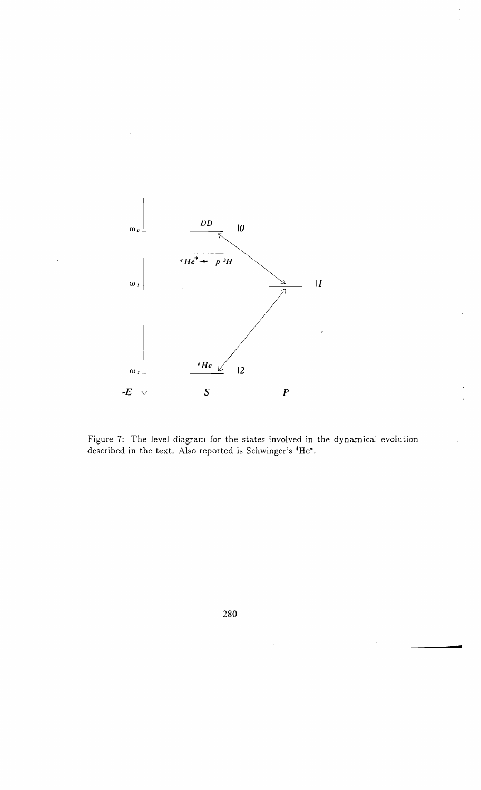

Figure 7: The level diagram for the states involved in the dynamical evolution described in the text. Also reported is Schwinger's <sup>4</sup>He\*.

280

**-**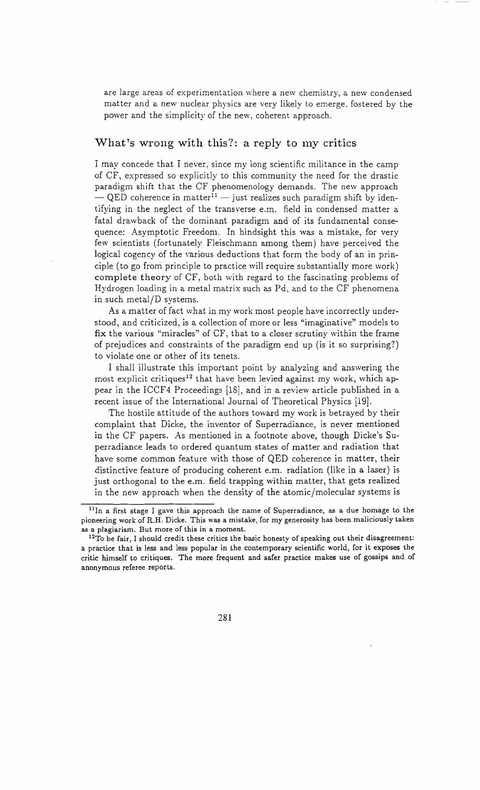are large areas of experimentation where a new chemistry, a new condensed matter and a new nuclear physics are very likely to emerge, fostered by the power and the simplicity of the new, coherent approach.

### What's wrong with this?: a reply to my critics

I may concede that I never, since my long scientific militance in the camp of CF, expressed so explicitly to this community the need for the drastic paradigm shift that the CF phenomenology demands. The new approach  $-$  QED coherence in matter<sup>11</sup>  $-$  just realizes such paradigm shift by identifying in the neglect of the transverse e.m. field in condensed matter a fatal drawback of the dominant paradigm and of its fundamental consequence: Asymptotic Freedom. In hindsight this was a mistake, for very few scientists (fortunately Fleischmann among them) have perceived the logical cogency of the various deductions that form the body of an in principle (to go from principle to practice will require substantially more work) complete theory of CF, both with regard to the fascinating problems of Hydrogen loading in a metal matrix such as Pd, and to the CF phenomena in such metal/D systems.

As a matter of fact what in my work most people have incorrectly understood, and criticized, is a collection of more or less "imaginative" models to fix the various "miracles" of CF, that to a closer scrutiny within the frame of prejudices and constraints of the paradigm end up (is it so surprising?) to violate one or other of its tenets.

I shall illustrate this important point by analyzing and answering the most explicit critiques<sup>12</sup> that have been levied against my work, which appear in the ICCF4 Proceedings [18], and in a review article published in a recent issue of the International Journal of Theoretical Physics [19].

The hostile attitude of the authors toward my work is betrayed by their complaint that Dicke, the inventor of Superradiance, is never mentioned in the CF papers. As mentioned in a footnote above, though Dicke's Superradiance leads to ordered quantum states of matter and radiation that have some common feature with those of QED coherence in matter, their distinctive feature of producing coherent e.m. radiation (like in a laser) is just orthogonal to the e.m. field trapping within matter, that gets realized in the new approach when the density of the atomic/molecular systems is

<sup>&</sup>lt;sup>11</sup>In a first stage I gave this approach the name of Superradiance, as a due homage to the pioneering work of R.H. Dicke. This was a mistake, for my generosity has been maliciously taken as a plagiarism. But more of this in a moment.

<sup>&</sup>lt;sup>12</sup>To be fair, I should credit these critics the basic honesty of speaking out their disagreement: a practice that is less and less popular in the contemporary scientific world, for it exposes the critic himself to critiques. The more frequent and safer practice makes use of gossips and of anonymous referee reports.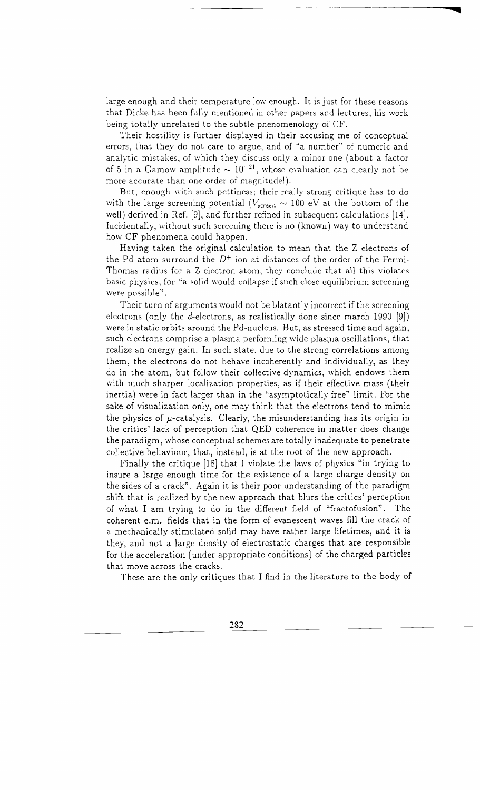large enough and their temperature low enough. It is just for these reasons that Dicke has been fully mentioned in other papers and lectures, his work being totally unrelated to the subtle phenomenology of CF.

Their hostility is further displayed in their accusing me of conceptual errors, that they do not care to argue, and of "a number" of numeric and analytic mistakes, of which they discuss only a minor one (about a factor of 5 in a Gamow amplitude  $\sim 10^{-21}$ , whose evaluation can clearly not be more accurate than one order of magnitude!).

But, enough with such pettiness; their really strong critique has to do with the large screening potential ( $V_{screen} \sim 100$  eV at the bottom of the well) derived in Ref. [9], and further refined in subsequent calculations [14]. Incidentally, without such screening there is no (known) way to understand how CF phenomena could happen.

Having taken the original calculation to mean that the Z electrons of the Pd atom surround the  $D^+$ -ion at distances of the order of the Fermi-Thomas radius for a Z electron atom, they conclude that all this violates basic physics, for "a solid would collapse if such close equilibrium screening were possible".

Their turn of arguments would not be blatantly incorrect if the screening electrons (only the d-electrons, as realistically done since march 1990 [9]) were in static orbits around the Pd-nucleus. But, as stressed time and again, such electrons comprise a plasma performing wide plasma oscillations, that realize an energy gain. In such state, due to the strong correlations among them, the electrons do not behave incoherently and individually, as they do in the atom, but follow their collective dynamics, which endows them with much sharper localization properties, as if their effective mass (their inertia) were in fact larger than in the "asymptotically free" limit. For the sake of visualization only, one may think that the electrons tend to mimic the physics of  $\mu$ -catalysis. Clearly, the misunderstanding has its origin in the critics' lack of perception that QED coherence in matter does change the paradigm, whose conceptual schemes are totally inadequate to penetrate collective behaviour, that, instead, is at the root of the new approach.

Finally the critique [18] that I violate the laws of physics "in trying to insure a large enough time for the existence of a large charge density on the sides of a crack". Again it is their poor understanding of the paradigm shift that is realized by the new approach that blurs the critics' perception of what I am trying to do in the different field of "fractofusion". The coherent e.m. fields that in the form of evanescent waves fill the crack of a mechanically stimulated solid may have rather large lifetimes, and it is they, and not a large density of electrostatic charges that are responsible for the acceleration (under appropriate conditions) of the charged particles that move across the cracks.

These are the only critiques that I find in the literature to the body of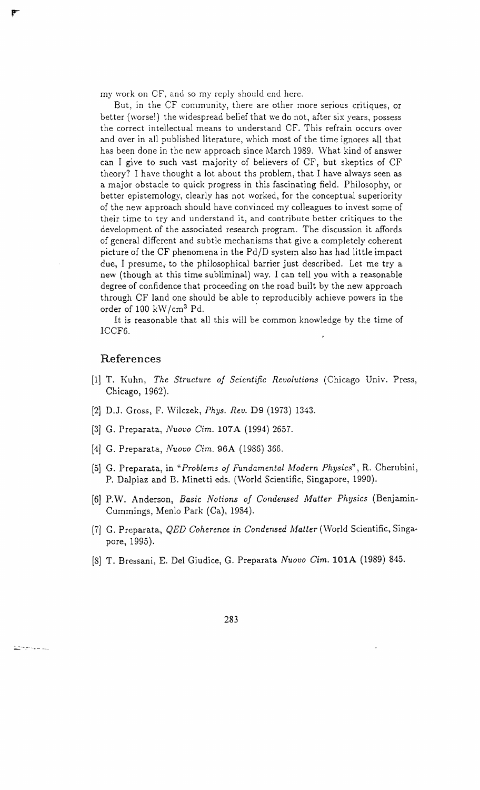my work on CF, and so my reply should end here.

But, in the CF community, there are other more serious critiques, or better (worsel) the widespread belief that \ve do not, after six years, possess the correct intellectual means to understand CF. This refrain occurs over and over in all published literature, which most of the time ignores all that has been done in the new approach since March 1989. What kind of answer can I give to such vast majority of believers of CF, but skeptics of CF theory? I have thought a lot about ths problem, that I have always seen as a major obstacle to quick progress in this fascinating field. Philosophy, or better epistemology, clearly has not worked, for the conceptual superiority of the new approach should have convinced my colleagues to invest some of their time to try and understand it, and contribute better critiques to the development of the associated research program. The discussion it affords of general different and subtle mechanisms that give a completely coherent picture of the CF phenomena in the Pd/D system also has had little impact due, I presume, to the philosophical barrier just described. Let me try a new (though at this time subliminal) way. I can tell you with a reasonable degree of confidence that proceeding on the road built by the new approach through CF land one should be able to reproducibly achieve powers in the order of 100 kW/cm<sup>3</sup> Pd.

It is reasonable that all this will be common knowledge by the time of ICCF6.

#### **References**

.<br>Ziman ne do

- [1] T. Kuhn, *The Structure of Scientific Revolutions* (Chicago Univ. Press, Chicago, 1962).
- [2] D.]. Gross, F. Wilczek, *Phys. Rev.* D9 (1973) 1343.
- [3] G. Preparata, *Nuovo Cim.* **107**A (1994) 2657.
- [4] G. Preparata, *Nuovo Cim.* 96A (1986) 366.
- [5] G. Preparata, in *"Problems of Fundamental Modern Physics"*, R. Cherubini, P. Dalpiaz and B. Minetti eds. (World Scientific, Singapore, 1990).
- [6] P.W. Anderson, *Basic Notions of Condensed Aifatter Physics* (Benjamin-Cummings, Menlo Park (Ca), 1984).
- [7] G. Preparata, *QED Coherence in Condensed Matter* (\Vorld Scientific, Singapore, 1995).
- [8] T. Bressani, E. Del Giudice, G. Preparata *Nuovo Cim.* **lOlA** (1989) 845.